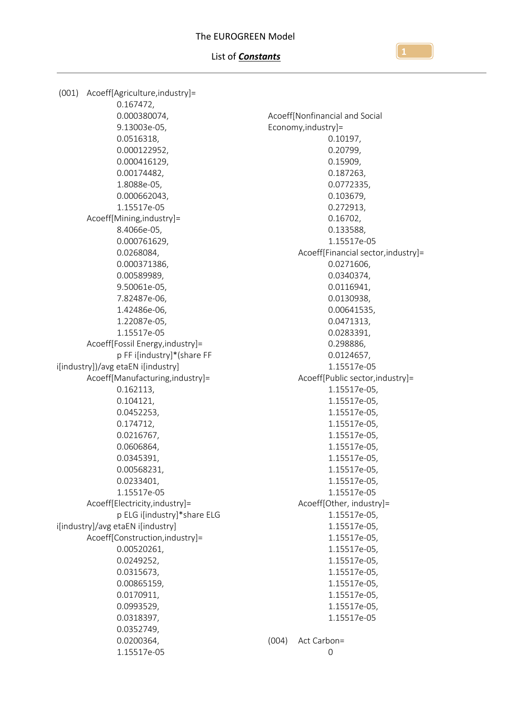### List of *Constants*

(001) Acoeff[Agriculture,industry]= 0.167472, 0.000380074, 9.13003e-05, 0.0516318, 0.000122952, 0.000416129, 0.00174482, 1.8088e-05, 0.000662043, 1.15517e-05 Acoeff[Mining,industry]= 8.4066e-05, 0.000761629, 0.0268084, 0.000371386, 0.00589989, 9.50061e-05, 7.82487e-06, 1.42486e-06, 1.22087e-05, 1.15517e-05 Acoeff[Fossil Energy,industry]= p FF i[industry]\*(share FF i[industry])/avg etaEN i[industry] Acoeff[Manufacturing,industry]= 0.162113, 0.104121, 0.0452253, 0.174712, 0.0216767, 0.0606864, 0.0345391, 0.00568231, 0.0233401, 1.15517e-05 Acoeff[Electricity,industry]= p ELG i[industry]\*share ELG i[industry]/avg etaEN i[industry] Acoeff[Construction,industry]= 0.00520261, 0.0249252, 0.0315673, 0.00865159, 0.0170911, 0.0993529, 0.0318397, 0.0352749, 0.0200364, 1.15517e-05 Acoeff[Nonfinancial and Social Economy,industry]= 0.10197, 0.20799, 0.15909, 0.187263, 0.0772335, 0.103679, 0.272913, 0.16702, 0.133588, 1.15517e-05 Acoeff[Financial sector,industry]= 0.0271606, 0.0340374, 0.0116941, 0.0130938, 0.00641535, 0.0471313, 0.0283391, 0.298886, 0.0124657, 1.15517e-05 Acoeff[Public sector,industry]= 1.15517e-05, 1.15517e-05, 1.15517e-05, 1.15517e-05, 1.15517e-05, 1.15517e-05, 1.15517e-05, 1.15517e-05, 1.15517e-05, 1.15517e-05 Acoeff[Other, industry]= 1.15517e-05, 1.15517e-05, 1.15517e-05, 1.15517e-05, 1.15517e-05, 1.15517e-05, 1.15517e-05, 1.15517e-05, 1.15517e-05, 1.15517e-05 (004) Act Carbon= 0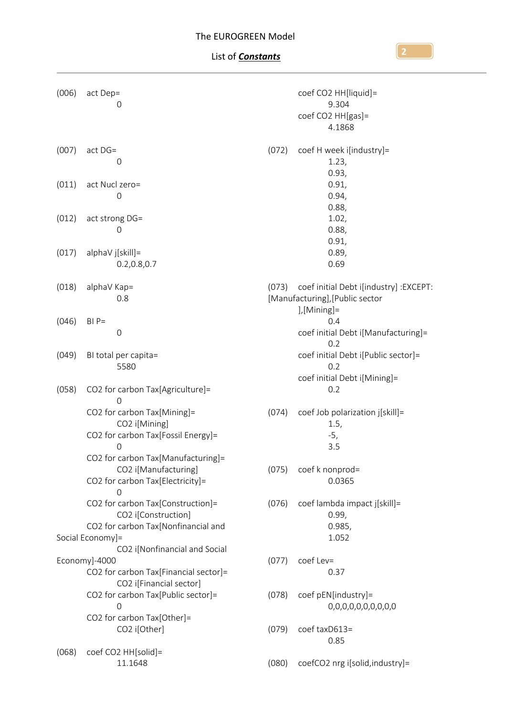| (006)                                             | act Dep=<br>0                                                                                              |       | coef CO2 HH[liquid]=<br>9.304<br>coef CO2 HH[gas]=<br>4.1868                              |
|---------------------------------------------------|------------------------------------------------------------------------------------------------------------|-------|-------------------------------------------------------------------------------------------|
| (007)                                             | act DG=<br>0                                                                                               | (072) | coef H week i[industry]=<br>1.23,<br>0.93,                                                |
| (011)                                             | act Nucl zero=<br>0                                                                                        |       | 0.91,<br>0.94,<br>0.88,                                                                   |
| (012)                                             | act strong DG=<br>$\mathsf{O}\xspace$                                                                      |       | 1.02,<br>0.88,<br>0.91,                                                                   |
| (017)                                             | alphaV j[skill]=<br>0.2, 0.8, 0.7                                                                          |       | 0.89,<br>0.69                                                                             |
| (018)                                             | alphaV Kap=<br>0.8                                                                                         | (073) | coef initial Debt i[industry] : EXCEPT:<br>[Manufacturing], [Public sector<br>],[Mining]= |
| (046)                                             | $BI P =$<br>$\mathsf{O}\xspace$                                                                            |       | 0.4<br>coef initial Debt i[Manufacturing]=<br>0.2                                         |
| (049)                                             | BI total per capita=<br>5580                                                                               |       | coef initial Debt i[Public sector]=<br>0.2<br>coef initial Debt i[Mining]=                |
| (058)                                             | CO2 for carbon Tax[Agriculture]=<br>ი                                                                      |       | 0.2                                                                                       |
|                                                   | CO2 for carbon Tax[Mining]=<br>CO2 i[Mining]<br>CO2 for carbon Tax[Fossil Energy]=<br>$\Omega$             | (074) | coef Job polarization j[skill]=<br>1.5,<br>$-5,$<br>3.5                                   |
|                                                   | CO2 for carbon Tax[Manufacturing]=<br>CO2 i[Manufacturing]<br>CO2 for carbon Tax[Electricity]=<br>$\Omega$ | (075) | coef k nonprod=<br>0.0365                                                                 |
|                                                   | CO2 for carbon Tax[Construction]=<br>CO2 i[Construction]<br>CO2 for carbon Tax[Nonfinancial and            | (076) | coef lambda impact j[skill]=<br>0.99,<br>0.985,                                           |
| Social Economy]=<br>CO2 i[Nonfinancial and Social |                                                                                                            |       | 1.052                                                                                     |
|                                                   | Economy]-4000<br>CO2 for carbon Tax[Financial sector]=<br>CO2 i[Financial sector]                          | (077) | coef Lev=<br>0.37                                                                         |
|                                                   | CO2 for carbon Tax[Public sector]=<br>$\overline{0}$<br>CO2 for carbon Tax[Other]=                         | (078) | coef pEN[industry]=<br>0,0,0,0,0,0,0,0,0,0                                                |
|                                                   | CO2 i[Other]                                                                                               | (079) | coef taxD613=<br>0.85                                                                     |
| (068)                                             | coef CO2 HH[solid]=<br>11.1648                                                                             | (080) | coefCO2 nrg i[solid,industry]=                                                            |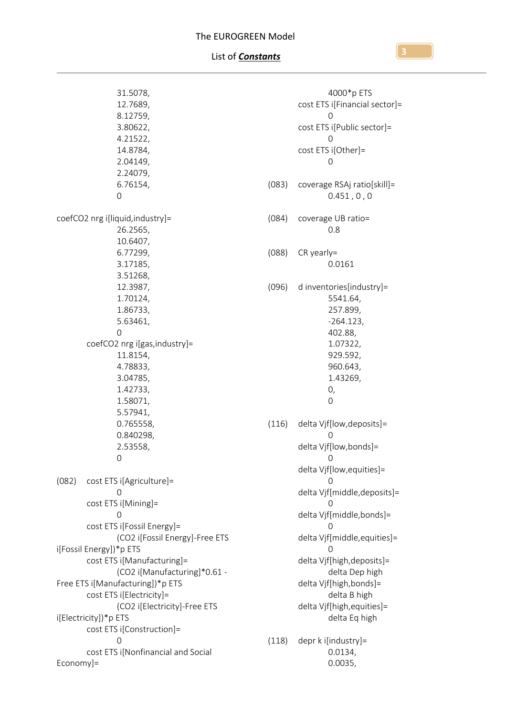| 31.5078,<br>12.7689,<br>8.12759,<br>3.80622,<br>4.21522,<br>14.8784,<br>2.04149,<br>2.24079,<br>6.76154, |                                                                | (083) |  |  |
|----------------------------------------------------------------------------------------------------------|----------------------------------------------------------------|-------|--|--|
| 0                                                                                                        |                                                                |       |  |  |
| coefCO2 nrg i[liquid, industry]=<br>26.2565,<br>10.6407,                                                 |                                                                | (084) |  |  |
| 6.77299,<br>3.17185,<br>3.51268,                                                                         |                                                                | (088) |  |  |
| 12.3987,<br>1.70124,<br>1.86733,                                                                         |                                                                | (096) |  |  |
| 5.63461,<br>0                                                                                            | coefCO2 nrg i[gas, industry]=                                  |       |  |  |
| 11.8154,<br>4.78833,<br>3.04785,<br>1.42733,<br>1.58071,<br>5.57941,                                     |                                                                |       |  |  |
| 0.765558,<br>0.840298,<br>2.53558,<br>0                                                                  |                                                                | (116) |  |  |
| (082) cost ETS i[Agriculture]=<br>O                                                                      |                                                                |       |  |  |
| cost ETS i[Mining]=<br>0<br>cost ETS i[Fossil Energy]=                                                   |                                                                |       |  |  |
| i[Fossil Energy])*p ETS<br>cost ETS i[Manufacturing]=                                                    | (CO2 i[Fossil Energy]-Free ETS<br>(CO2 i[Manufacturing]*0.61 - |       |  |  |
| Free ETS i[Manufacturing])*p ETS<br>cost ETS i[Electricity]=                                             | (CO2 i[Electricity]-Free ETS                                   |       |  |  |
| i[Electricity])*p ETS<br>cost ETS i[Construction]=<br>0                                                  |                                                                | (118) |  |  |
| cost ETS i[Nonfinancial and Social<br>Economy]=                                                          |                                                                |       |  |  |

|       | 4000*p ETS                                                                                                                                                                                                                                                                                                                                            |
|-------|-------------------------------------------------------------------------------------------------------------------------------------------------------------------------------------------------------------------------------------------------------------------------------------------------------------------------------------------------------|
|       | cost ETS i[Financial sector]=                                                                                                                                                                                                                                                                                                                         |
|       | $\left( \right)$<br>cost ETS i[Public sector]=                                                                                                                                                                                                                                                                                                        |
|       | 0<br>cost ETS i[Other]=<br>0                                                                                                                                                                                                                                                                                                                          |
|       | (083) coverage RSAj ratio[skill]=<br>0.451, 0, 0                                                                                                                                                                                                                                                                                                      |
|       | (084) coverage UB ratio=<br>0.8                                                                                                                                                                                                                                                                                                                       |
|       | $(088)$ CR yearly=<br>0.0161                                                                                                                                                                                                                                                                                                                          |
|       | (096) d inventories[industry]=<br>5541.64,<br>257.899,<br>$-264.123,$<br>402.88,<br>1.07322,<br>929.592,<br>960.643,<br>1.43269,<br>0,<br>0                                                                                                                                                                                                           |
|       | (116) delta Vjf[low, deposits]=<br>0<br>delta Vjf[low,bonds]=<br>. O<br>delta Vjf[low, equities]=<br>Ω<br>delta Vjf[middle, deposits]=<br>0<br>delta Vjf[middle,bonds]=<br>0<br>delta Vjf[middle, equities]=<br>delta Vjf[high, deposits]=<br>delta Dep high<br>delta Vjf[high,bonds]=<br>delta B high<br>delta Vjf[high, equities]=<br>delta Eq high |
| (118) | depr k i[industry]=<br>0.0134,                                                                                                                                                                                                                                                                                                                        |

0.0035,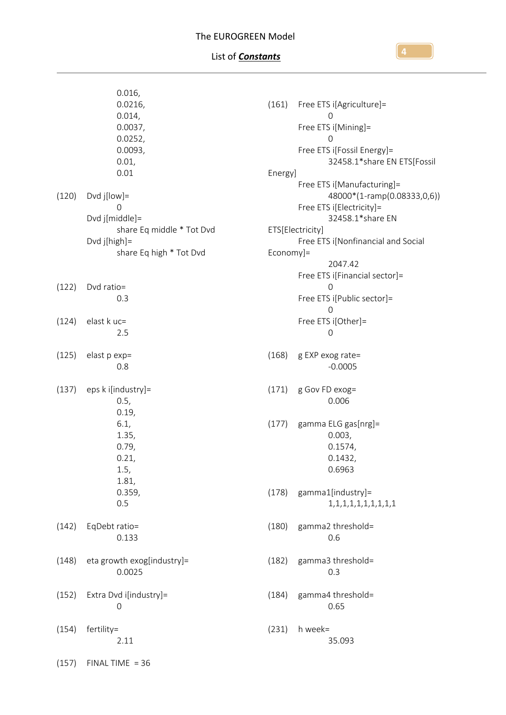# List of *Constants*

|       | 0.016,                     |           |                                    |
|-------|----------------------------|-----------|------------------------------------|
|       | 0.0216,                    | (161)     | Free ETS i[Agriculture]=           |
|       | 0.014,                     |           | $\mathbf 0$                        |
|       | 0.0037,                    |           | Free ETS i[Mining]=                |
|       | 0.0252,                    |           | $\mathbf 0$                        |
|       | 0.0093,                    |           | Free ETS i[Fossil Energy]=         |
|       | 0.01,                      |           | 32458.1*share EN ETS[Fossil        |
|       | 0.01                       | Energy]   |                                    |
|       |                            |           | Free ETS i[Manufacturing]=         |
| (120) | Dvd $j[low]=$              |           | 48000*(1-ramp(0.08333,0,6))        |
|       | 0                          |           | Free ETS i[Electricity]=           |
|       | Dvd j[middle]=             |           | 32458.1*share EN                   |
|       | share Eq middle * Tot Dvd  |           | ETS[Electricity]                   |
|       | Dvd j[high]=               |           | Free ETS i[Nonfinancial and Social |
|       | share Eq high * Tot Dvd    | Economy]= |                                    |
|       |                            |           | 2047.42                            |
|       |                            |           | Free ETS i[Financial sector]=      |
| (122) | Dvd ratio=                 |           | $\mathbf 0$                        |
|       | 0.3                        |           | Free ETS i[Public sector]=         |
|       |                            |           | $\mathbf 0$                        |
| (124) | elast k uc=                |           | Free ETS i[Other]=                 |
|       | 2.5                        |           | $\mathbf 0$                        |
|       |                            |           |                                    |
| (125) | elast p exp=               | (168)     | g EXP exog rate=                   |
|       | 0.8                        |           | $-0.0005$                          |
| (137) | eps k i[industry]=         | (171)     | g Gov FD exog=                     |
|       | 0.5,                       |           | 0.006                              |
|       | 0.19,                      |           |                                    |
|       | 6.1,                       | (177)     | gamma ELG gas[nrg]=                |
|       | 1.35,                      |           | 0.003,                             |
|       | 0.79,                      |           | 0.1574,                            |
|       | 0.21,                      |           | 0.1432,                            |
|       | 1.5,                       |           | 0.6963                             |
|       | 1.81,                      |           |                                    |
|       | 0.359,                     | (178)     | gamma1[industry]=                  |
|       | 0.5                        |           | 1, 1, 1, 1, 1, 1, 1, 1, 1, 1       |
|       |                            |           |                                    |
| (142) | EqDebt ratio=              | (180)     | gamma2 threshold=                  |
|       | 0.133                      |           | 0.6                                |
|       |                            |           |                                    |
| (148) | eta growth exog[industry]= | (182)     | gamma3 threshold=                  |
|       | 0.0025                     |           | 0.3                                |
|       |                            |           |                                    |
| (152) | Extra Dvd i[industry]=     | (184)     | gamma4 threshold=                  |
|       | $\mathbf 0$                |           | 0.65                               |
|       |                            |           |                                    |
| (154) | fertility=                 | (231)     | h week=                            |
|       | 2.11                       |           | 35.093                             |
|       |                            |           |                                    |
| (157) | $FINALTIME = 36$           |           |                                    |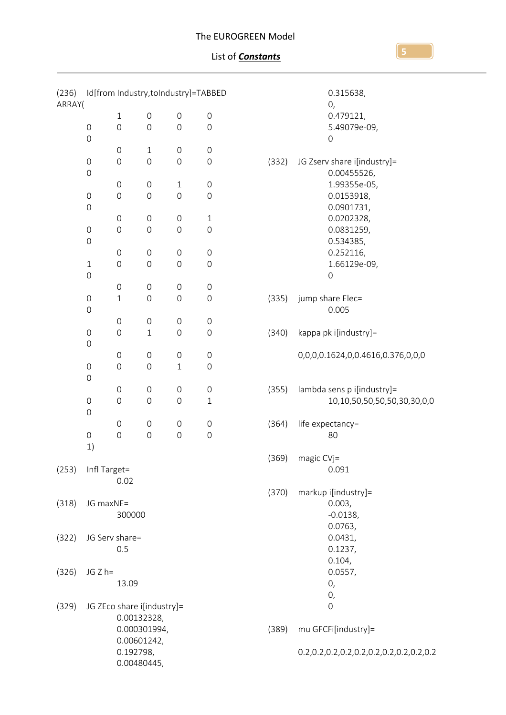| (236)<br>ARRAY( |                                           |                          | Id[from Industry,toIndustry]=TABBED |                     |                     |       | 0.315638,<br>0,                         |
|-----------------|-------------------------------------------|--------------------------|-------------------------------------|---------------------|---------------------|-------|-----------------------------------------|
|                 |                                           | $\mathbf{1}$             | $\mathbf 0$                         | $\mathsf{O}\xspace$ | $\mathsf{O}\xspace$ |       | 0.479121,                               |
|                 | $\mathsf O$                               | $\mathsf{O}\xspace$      | $\mathsf{O}\xspace$                 | $\mathbf 0$         | $\boldsymbol{0}$    |       | 5.49079e-09,                            |
|                 | $\mathbf 0$                               |                          |                                     |                     |                     |       | $\mathbf 0$                             |
|                 |                                           |                          |                                     |                     |                     |       |                                         |
|                 |                                           | $\mathsf{O}\xspace$      | $\mathbf{1}$                        | $\mathsf{O}\xspace$ | $\mathsf{O}\xspace$ |       |                                         |
|                 | $\mathbf 0$                               | $\mathsf{O}$             | $\mathsf{O}\xspace$                 | $\mathbf 0$         | $\mathbf 0$         | (332) | JG Zserv share i[industry]=             |
|                 | $\mathbf 0$                               |                          |                                     |                     |                     |       | 0.00455526,                             |
|                 |                                           | $\mathsf{O}\xspace$      | $\mbox{O}$                          | $\mathbf{1}$        | $\mbox{O}$          |       | 1.99355e-05,                            |
|                 | $\mbox{O}$                                | $\mathsf{O}\xspace$      | $\mathsf{O}\xspace$                 | $\mathsf{O}\xspace$ | $\boldsymbol{0}$    |       | 0.0153918,                              |
|                 | $\mathbf 0$                               |                          |                                     |                     |                     |       | 0.0901731,                              |
|                 |                                           | $\mathsf{O}\xspace$      | $\mathbf 0$                         | $\mathbf 0$         | $\mathbf{1}$        |       | 0.0202328,                              |
|                 | $\mathbf 0$                               | $\mathsf{O}\xspace$      | $\mbox{O}$                          | $\mathbf 0$         | $\boldsymbol{0}$    |       | 0.0831259,                              |
|                 | $\mathsf{O}\xspace$                       |                          |                                     |                     |                     |       | 0.534385,                               |
|                 |                                           | $\mathsf{O}\xspace$      | $\mathbf 0$                         | $\mathbf 0$         | $\mbox{O}$          |       | 0.252116,                               |
|                 | $\,1\,$                                   | $\mathbf 0$              | $\mbox{O}$                          | $\mbox{O}$          | $\boldsymbol{0}$    |       | 1.66129e-09,                            |
|                 | $\mathbf 0$                               |                          |                                     |                     |                     |       | $\mathbf 0$                             |
|                 |                                           | $\mathsf{O}\xspace$      | $\mbox{O}$                          | $\mathsf{O}\xspace$ | $\mbox{O}$          |       |                                         |
|                 | $\mbox{O}$                                | $1\,$                    | $\mathsf{O}\xspace$                 | $\mathsf{O}\xspace$ | $\boldsymbol{0}$    | (335) | jump share Elec=                        |
|                 | $\mathbf 0$                               |                          |                                     |                     |                     |       | 0.005                                   |
|                 |                                           | $\mathsf{O}\xspace$      | $\mbox{O}$                          | $\mbox{O}$          | $\mbox{O}$          |       |                                         |
|                 | $\mathbf 0$                               | $\mathsf{O}\xspace$      | $1\,$                               | $\mathbf 0$         | $\mathbf 0$         | (340) | kappa pk i[industry]=                   |
|                 | $\mathsf{O}\xspace$                       |                          |                                     |                     |                     |       |                                         |
|                 |                                           | $\mathbf 0$              | $\mathsf{O}\xspace$                 | $\mathbf 0$         | $\mbox{O}$          |       | 0,0,0,0.1624,0,0.4616,0.376,0,0,0       |
|                 | $\mbox{O}$                                | $\mathbf 0$              | $\boldsymbol{0}$                    | $\,1\,$             | $\boldsymbol{0}$    |       |                                         |
|                 | $\mathsf{O}\xspace$                       |                          |                                     |                     |                     |       |                                         |
|                 |                                           | $\mathsf{O}\xspace$      | $\boldsymbol{0}$                    | $\mathsf{O}\xspace$ | $\mathsf{O}\xspace$ | (355) | lambda sens p i[industry]=              |
|                 | $\mbox{O}$                                | $\mathbf 0$              | $\mathsf{O}\xspace$                 | $\mathbf 0$         | $\mathbf{1}$        |       | 10,10,50,50,50,50,30,30,0,0             |
|                 | $\mathbf 0$                               | $\mathbf 0$              | $\mathbf 0$                         | $\mathbf 0$         | $\mbox{O}$          | (364) | life expectancy=                        |
|                 | $\mathsf{O}\xspace$                       |                          | $\mathsf{O}\xspace$                 | $\mathsf{O}\xspace$ |                     |       |                                         |
|                 |                                           | $\mathbf 0$              |                                     |                     | $\mbox{O}$          |       | 80                                      |
|                 | 1)                                        |                          |                                     |                     |                     |       | (369) magic CVj=                        |
| (253)           | Infl Target=                              |                          |                                     |                     |                     |       | 0.091                                   |
|                 |                                           | 0.02                     |                                     |                     |                     |       |                                         |
|                 |                                           |                          |                                     |                     |                     | (370) | markup i[industry]=                     |
| (318)           | JG maxNE=                                 |                          |                                     |                     |                     |       | 0.003,                                  |
|                 |                                           |                          |                                     |                     |                     |       |                                         |
|                 |                                           | 300000                   |                                     |                     |                     |       | $-0.0138,$                              |
|                 |                                           |                          |                                     |                     |                     |       | 0.0763,                                 |
| (322)           |                                           | JG Serv share=           |                                     |                     |                     |       | 0.0431,                                 |
|                 |                                           | 0.5                      |                                     |                     |                     |       | 0.1237,                                 |
|                 |                                           |                          |                                     |                     |                     |       | 0.104,                                  |
| (326)           | $JG Z h =$                                |                          |                                     |                     |                     |       | 0.0557,                                 |
|                 |                                           | 13.09                    |                                     |                     |                     |       | 0,                                      |
|                 |                                           |                          |                                     |                     |                     |       | 0,                                      |
| (329)           | JG ZEco share i[industry]=<br>0.00132328, |                          |                                     |                     |                     |       | 0                                       |
|                 |                                           |                          |                                     |                     |                     |       |                                         |
|                 |                                           | 0.000301994,             |                                     |                     |                     | (389) | mu GFCFi[industry]=                     |
|                 |                                           | 0.00601242,<br>0.192798, |                                     |                     |                     |       |                                         |
|                 |                                           | 0.00480445,              |                                     |                     |                     |       | 0.2,0.2,0.2,0.2,0.2,0.2,0.2,0.2,0.2,0.2 |
|                 |                                           |                          |                                     |                     |                     |       |                                         |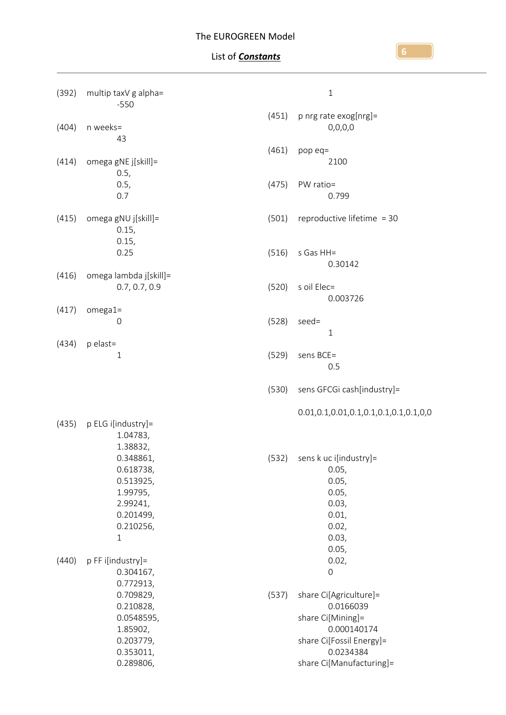| (392) | multip taxV g alpha=<br>$-550$                                                                        |       | $\,1\,$                                                                                                                                      |
|-------|-------------------------------------------------------------------------------------------------------|-------|----------------------------------------------------------------------------------------------------------------------------------------------|
| (404) | n weeks=<br>43                                                                                        | (451) | p nrg rate exog[nrg]=<br>0,0,0,0                                                                                                             |
| (414) | omega gNE j[skill]=                                                                                   | (461) | pop eq=<br>2100                                                                                                                              |
|       | 0.5,<br>0.5,<br>0.7                                                                                   | (475) | PW ratio=<br>0.799                                                                                                                           |
| (415) | omega gNU j[skill]=<br>0.15,<br>0.15,                                                                 | (501) | reproductive lifetime = 30                                                                                                                   |
|       | 0.25                                                                                                  | (516) | s Gas HH=<br>0.30142                                                                                                                         |
| (416) | omega lambda j[skill]=<br>0.7, 0.7, 0.9                                                               | (520) | s oil Elec=<br>0.003726                                                                                                                      |
| (417) | $omega =$<br>0                                                                                        | (528) | seed=<br>$\mathbf{1}$                                                                                                                        |
| (434) | p elast=<br>$\mathbf{1}$                                                                              | (529) | sens BCE=<br>0.5                                                                                                                             |
|       |                                                                                                       | (530) | sens GFCGi cash[industry]=                                                                                                                   |
| (435) | p ELG i[industry]=<br>1.04783,<br>1.38832,                                                            |       |                                                                                                                                              |
|       | 0.348861,<br>0.618738,<br>0.513925,<br>1.99795,<br>2.99241,<br>0.201499,<br>0.210256,<br>$\mathbf{1}$ | (532) | sens k uc i[industry]=<br>0.05,<br>0.05,<br>0.05,<br>0.03,<br>0.01,<br>0.02,<br>0.03,<br>0.05,                                               |
| (440) | p FF i[industry]=<br>0.304167,<br>0.772913,                                                           |       | 0.02,<br>0                                                                                                                                   |
|       | 0.709829,<br>0.210828,<br>0.0548595,<br>1.85902,<br>0.203779,<br>0.353011,<br>0.289806,               | (537) | share Ci[Agriculture]=<br>0.0166039<br>share Ci[Mining]=<br>0.000140174<br>share Ci[Fossil Energy]=<br>0.0234384<br>share Ci[Manufacturing]= |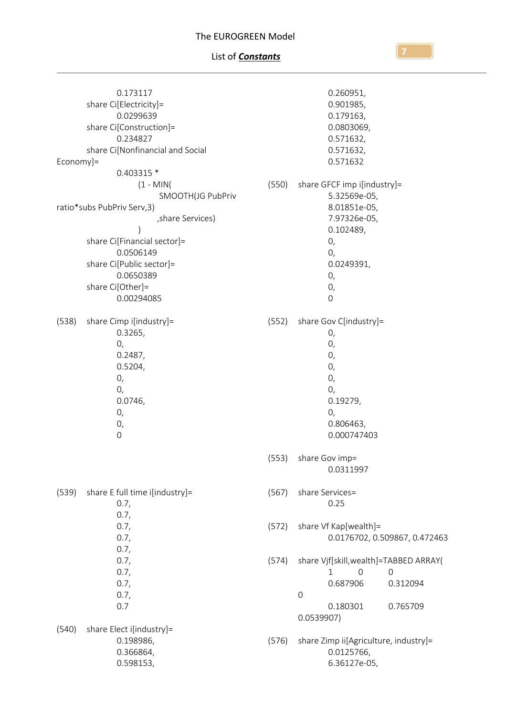### List of *Constants*

0.173117 share Ci[Electricity]= 0.0299639 share Ci[Construction]= 0.234827 share Ci[Nonfinancial and Social Economy]= 0.403315 \* (1 - MIN( SMOOTH(JG PubPriv ratio\*subs PubPriv Serv,3) ,share Services) ) share Ci[Financial sector]= 0.0506149 share Ci[Public sector]= 0.0650389 share Ci[Other]= 0.00294085 (538) share Cimp i[industry]= 0.3265, 0, 0.2487, 0.5204, 0, 0, 0.0746, 0, 0, 0 (539) share E full time i[industry]= 0.7, 0.7, 0.7, 0.7, 0.7, 0.7, 0.7, 0.7, 0.7, 0.7 (540) share Elect i[industry]= 0.198986, 0.366864, 0.598153, 0.260951, 0.901985, 0.179163, 0.0803069, 0.571632, 0.571632, 0.571632 (550) share GFCF imp i[industry]= 5.32569e-05, 8.01851e-05, 7.97326e-05, 0.102489, 0, 0, 0.0249391, 0, 0, 0 (552) share Gov C[industry]= 0, 0, 0, 0, 0, 0, 0.19279, 0, 0.806463, 0.000747403 (553) share Gov imp= 0.0311997 (567) share Services= 0.25 (572) share Vf Kap[wealth]= 0.0176702, 0.509867, 0.472463 (574) share Vjf[skill,wealth]=TABBED ARRAY( 1 0 0 0.687906 0.312094 0 0.180301 0.765709 0.0539907) (576) share Zimp ii[Agriculture, industry]= 0.0125766, 6.36127e-05,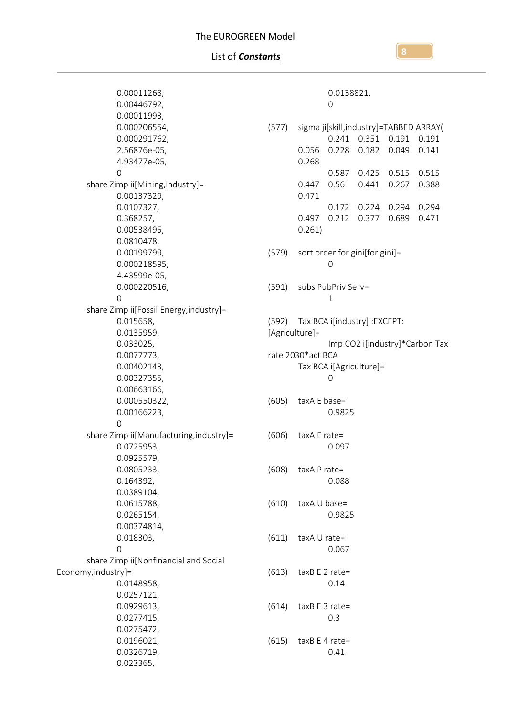0.00011268, 0.00446792, 0.00011993, 0.000206554, 0.000291762, 2.56876e-05, 4.93477e-05, 0 share Zimp ii[Mining,industry]= 0.00137329, 0.0107327, 0.368257, 0.00538495, 0.0810478, 0.00199799, 0.000218595, 4.43599e-05, 0.000220516, 0 share Zimp ii[Fossil Energy,industry]= 0.015658, 0.0135959, 0.033025, 0.0077773, 0.00402143, 0.00327355, 0.00663166, 0.000550322, 0.00166223, 0 share Zimp ii[Manufacturing,industry]= 0.0725953, 0.0925579, 0.0805233, 0.164392, 0.0389104, 0.0615788, 0.0265154, 0.00374814, 0.018303, 0 share Zimp ii[Nonfinancial and Social Economy,industry]= 0.0148958, 0.0257121, 0.0929613, 0.0277415, 0.0275472, 0.0196021, 0.0326719, 0.023365, 0.0138821, 0 (577) sigma ji[skill,industry]=TABBED ARRAY( 0.241 0.351 0.191 0.191 0.056 0.228 0.182 0.049 0.141 0.268 0.587 0.425 0.515 0.515 0.447 0.56 0.441 0.267 0.388 0.471 0.172 0.224 0.294 0.294 0.497 0.212 0.377 0.689 0.471 0.261) (579) sort order for gini[for gini]= 0 (591) subs PubPriv Serv= 1 (592) Tax BCA i[industry] :EXCEPT: [Agriculture]= Imp CO2 i[industry]\*Carbon Tax rate 2030\*act BCA Tax BCA i[Agriculture]= 0 (605) taxA E base= 0.9825 (606) taxA E rate= 0.097 (608) taxA P rate= 0.088 (610) taxA U base= 0.9825  $(611)$  taxA U rate= 0.067 (613) taxB E 2 rate= 0.14  $(614)$  taxB E 3 rate= 0.3  $(615)$  taxB E 4 rate= 0.41